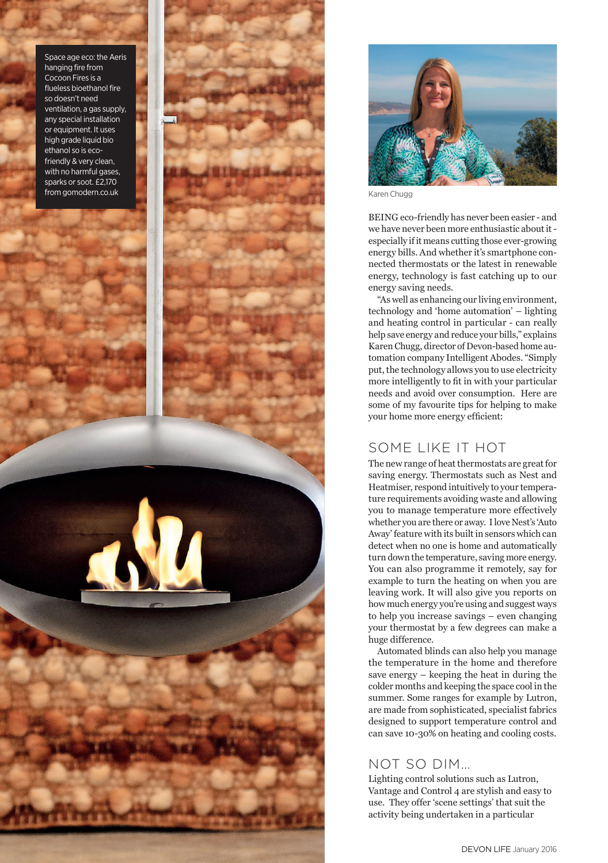Space age eco: the Aeris hanging fire from Cocoon Fires is a flueless bioethanol fire heen't need ventilation, a gas supply, any special installation or equipment. It uses high grade liquid bio ethanol so is ecofriendly & very clean. with no harmful gases. sparks or soot. £2.170





Karen Chugg

BEING eco-friendly has never been easier - and we have never been more enthusiastic about itespecially if it means cutting those ever-growing energy bills. And whether it's smartphone connected thermostats or the latest in renewable energy, technology is fast catching up to our energy saving needs.

"As well as enhancing our living environment, technology and 'home automation' - lighting and heating control in particular - can really help save energy and reduce your bills," explains Karen Chugg, director of Devon-based home automation company Intelligent Abodes. "Simply put, the technology allows you to use electricity more intelligently to fit in with your particular needs and avoid over consumption. Here are some of my favourite tips for helping to make your home more energy efficient:

## SOME LIKE IT HOT

The new range of heat thermostats are great for saving energy. Thermostats such as Nest and Heatmiser, respond intuitively to your temperature requirements avoiding waste and allowing you to manage temperature more effectively whether you are there or away. I love Nest's 'Auto Away' feature with its built in sensors which can detect when no one is home and automatically turn down the temperature, saving more energy. You can also programme it remotely, say for example to turn the heating on when you are leaving work. It will also give you reports on how much energy you're using and suggest ways to help you increase savings  $-$  even changing your thermostat by a few degrees can make a huge difference.

Automated blinds can also help you manage the temperature in the home and therefore save energy – keeping the heat in during the colder months and keeping the space cool in the summer. Some ranges for example by Lutron, are made from sophisticated, specialist fabrics designed to support temperature control and can save 10-30% on heating and cooling costs.

## NOT SO DIM...

Lighting control solutions such as Lutron, Vantage and Control 4 are stylish and easy to use. They offer 'scene settings' that suit the activity being undertaken in a particular